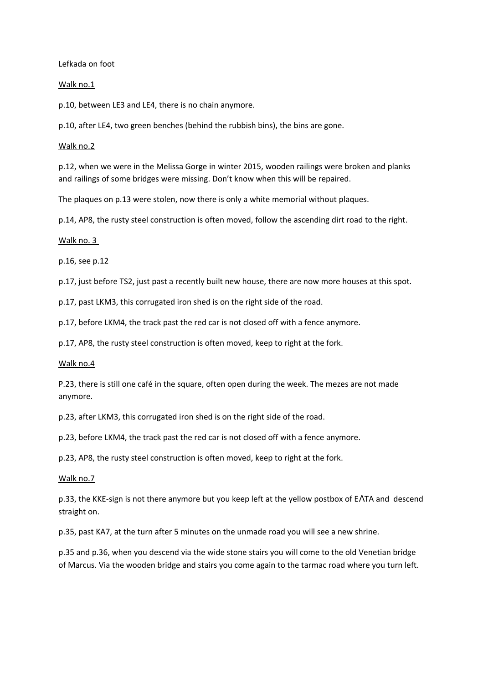Lefkada on foot

### Walk no.1

p.10, between LE3 and LE4, there is no chain anymore.

p.10, after LE4, two green benches (behind the rubbish bins), the bins are gone.

#### Walk no.2

p.12, when we were in the Melissa Gorge in winter 2015, wooden railings were broken and planks and railings of some bridges were missing. Don't know when this will be repaired.

The plaques on p.13 were stolen, now there is only a white memorial without plaques.

p.14, AP8, the rusty steel construction is often moved, follow the ascending dirt road to the right.

#### Walk no. 3

p.16, see p.12

p.17, just before TS2, just past a recently built new house, there are now more houses at this spot.

p.17, past LKM3, this corrugated iron shed is on the right side of the road.

p.17, before LKM4, the track past the red car is not closed off with a fence anymore.

p.17, AP8, the rusty steel construction is often moved, keep to right at the fork.

#### Walk no.4

P.23, there is still one café in the square, often open during the week. The mezes are not made anymore.

p.23, after LKM3, this corrugated iron shed is on the right side of the road.

p.23, before LKM4, the track past the red car is not closed off with a fence anymore.

p.23, AP8, the rusty steel construction is often moved, keep to right at the fork.

### Walk no.7

p.33, the KKE-sign is not there anymore but you keep left at the yellow postbox of E $\Lambda$ TA and descend straight on.

p.35, past KA7, at the turn after 5 minutes on the unmade road you will see a new shrine.

p.35 and p.36, when you descend via the wide stone stairs you will come to the old Venetian bridge of Marcus. Via the wooden bridge and stairs you come again to the tarmac road where you turn left.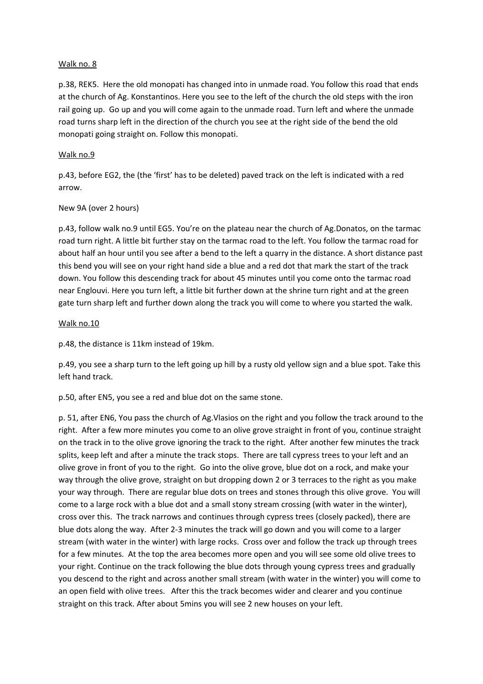### Walk no. 8

p.38, REK5. Here the old monopati has changed into in unmade road. You follow this road that ends at the church of Ag. Konstantinos. Here you see to the left of the church the old steps with the iron rail going up. Go up and you will come again to the unmade road. Turn left and where the unmade road turns sharp left in the direction of the church you see at the right side of the bend the old monopati going straight on. Follow this monopati.

### Walk no.9

p.43, before EG2, the (the 'first' has to be deleted) paved track on the left is indicated with a red arrow.

## New 9A (over 2 hours)

p.43, follow walk no.9 until EG5. You're on the plateau near the church of Ag.Donatos, on the tarmac road turn right. A little bit further stay on the tarmac road to the left. You follow the tarmac road for about half an hour until you see after a bend to the left a quarry in the distance. A short distance past this bend you will see on your right hand side a blue and a red dot that mark the start of the track down. You follow this descending track for about 45 minutes until you come onto the tarmac road near Englouvi. Here you turn left, a little bit further down at the shrine turn right and at the green gate turn sharp left and further down along the track you will come to where you started the walk.

## Walk no.10

p.48, the distance is 11km instead of 19km.

p.49, you see a sharp turn to the left going up hill by a rusty old yellow sign and a blue spot. Take this left hand track.

p.50, after EN5, you see a red and blue dot on the same stone.

p. 51, after EN6, You pass the church of Ag.Vlasios on the right and you follow the track around to the right. After a few more minutes you come to an olive grove straight in front of you, continue straight on the track in to the olive grove ignoring the track to the right. After another few minutes the track splits, keep left and after a minute the track stops. There are tall cypress trees to your left and an olive grove in front of you to the right. Go into the olive grove, blue dot on a rock, and make your way through the olive grove, straight on but dropping down 2 or 3 terraces to the right as you make your way through. There are regular blue dots on trees and stones through this olive grove. You will come to a large rock with a blue dot and a small stony stream crossing (with water in the winter), cross over this. The track narrows and continues through cypress trees (closely packed), there are blue dots along the way. After 2-3 minutes the track will go down and you will come to a larger stream (with water in the winter) with large rocks. Cross over and follow the track up through trees for a few minutes. At the top the area becomes more open and you will see some old olive trees to your right. Continue on the track following the blue dots through young cypress trees and gradually you descend to the right and across another small stream (with water in the winter) you will come to an open field with olive trees. After this the track becomes wider and clearer and you continue straight on this track. After about 5mins you will see 2 new houses on your left.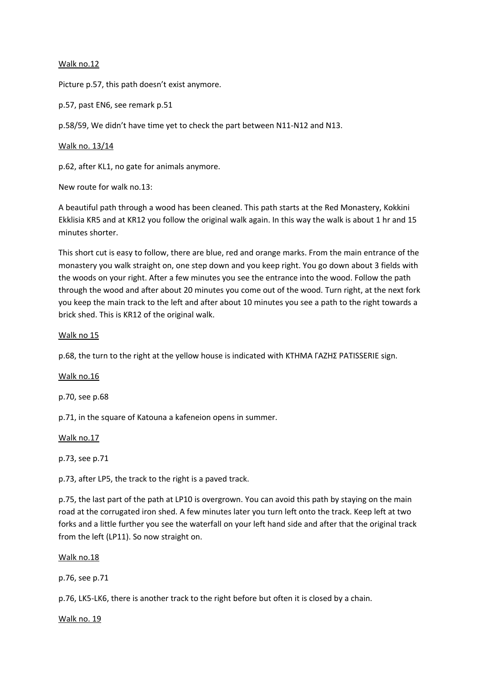### Walk no.12

Picture p.57, this path doesn't exist anymore.

p.57, past EN6, see remark p.51

p.58/59, We didn't have time yet to check the part between N11-N12 and N13.

### Walk no. 13/14

p.62, after KL1, no gate for animals anymore.

New route for walk no.13:

A beautiful path through a wood has been cleaned. This path starts at the Red Monastery, Kokkini Ekklisia KR5 and at KR12 you follow the original walk again. In this way the walk is about 1 hr and 15 minutes shorter.

This short cut is easy to follow, there are blue, red and orange marks. From the main entrance of the monastery you walk straight on, one step down and you keep right. You go down about 3 fields with the woods on your right. After a few minutes you see the entrance into the wood. Follow the path through the wood and after about 20 minutes you come out of the wood. Turn right, at the next fork you keep the main track to the left and after about 10 minutes you see a path to the right towards a brick shed. This is KR12 of the original walk.

#### Walk no 15

p.68, the turn to the right at the yellow house is indicated with KTHMA ΓΑΖΗΣ PATISSERIE sign.

Walk no.16

p.70, see p.68

p.71, in the square of Katouna a kafeneion opens in summer.

Walk no.17

p.73, see p.71

p.73, after LP5, the track to the right is a paved track.

p.75, the last part of the path at LP10 is overgrown. You can avoid this path by staying on the main road at the corrugated iron shed. A few minutes later you turn left onto the track. Keep left at two forks and a little further you see the waterfall on your left hand side and after that the original track from the left (LP11). So now straight on.

Walk no.18

p.76, see p.71

p.76, LK5-LK6, there is another track to the right before but often it is closed by a chain.

Walk no. 19